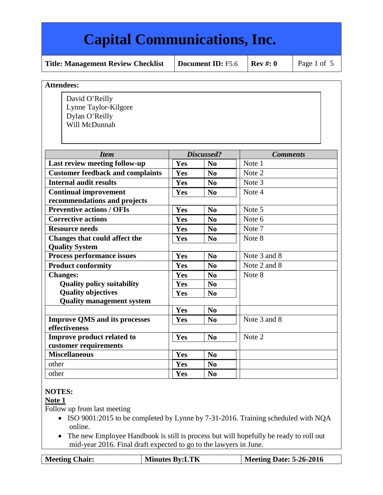**Title: Management Review Checklist** | Document ID: F5.6 | Rev #: 0 | Page 1 of 5

#### **Attendees:**

David O'Reilly Lynne Taylor-Kilgore Dylan O'Reilly Will McDunnah

| <b>Item</b>                             |            | Discussed?             | <b>Comments</b> |
|-----------------------------------------|------------|------------------------|-----------------|
| Last review meeting follow-up           | Yes        | N <sub>0</sub>         | Note 1          |
| <b>Customer feedback and complaints</b> | Yes        | N <sub>0</sub>         | Note 2          |
| <b>Internal audit results</b>           | Yes        | N <sub>0</sub>         | Note 3          |
| <b>Continual improvement</b>            | Yes        | $\mathbf{N}\mathbf{0}$ | Note 4          |
| recommendations and projects            |            |                        |                 |
| <b>Preventive actions / OFIs</b>        | Yes        | N <sub>0</sub>         | Note 5          |
| <b>Corrective actions</b>               | Yes        | N <sub>0</sub>         | Note 6          |
| <b>Resource needs</b>                   | Yes        | N <sub>0</sub>         | Note 7          |
| <b>Changes that could affect the</b>    | Yes        | N <sub>0</sub>         | Note 8          |
| <b>Quality System</b>                   |            |                        |                 |
| Process performance issues              | Yes        | N <sub>0</sub>         | Note 3 and 8    |
| <b>Product conformity</b>               | Yes        | No                     | Note 2 and 8    |
| <b>Changes:</b>                         | Yes        | N <sub>0</sub>         | Note 8          |
| <b>Quality policy suitability</b>       | Yes        | N <sub>o</sub>         |                 |
| <b>Quality objectives</b>               | Yes        | N <sub>0</sub>         |                 |
| <b>Quality management system</b>        |            |                        |                 |
|                                         | Yes        | N <sub>0</sub>         |                 |
| <b>Improve QMS and its processes</b>    | Yes        | $\mathbf{N}\mathbf{0}$ | Note 3 and 8    |
| effectiveness                           |            |                        |                 |
| Improve product related to              | Yes        | N <sub>0</sub>         | Note 2          |
| customer requirements                   |            |                        |                 |
| <b>Miscellaneous</b>                    | Yes        | N <sub>0</sub>         |                 |
| other                                   | <b>Yes</b> | N <sub>0</sub>         |                 |
| other                                   | <b>Yes</b> | N <sub>0</sub>         |                 |

### **NOTES:**

### **Note 1**

Follow up from last meeting

- ISO 9001:2015 to be completed by Lynne by 7-31-2016. Training scheduled with NQA online.
- The new Employee Handbook is still is process but will hopefully be ready to roll out mid-year 2016. Final draft expected to go to the lawyers in June.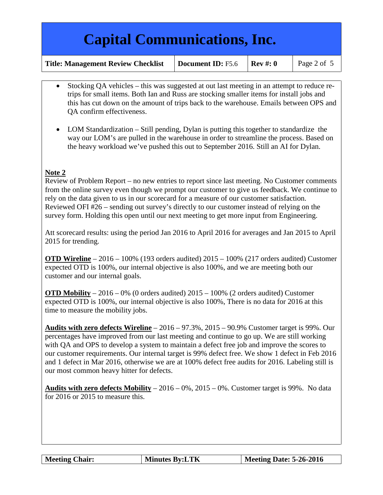**Title: Management Review Checklist** | Document ID: F5.6 | Rev #: 0 | Page 2 of 5

- Stocking QA vehicles this was suggested at out last meeting in an attempt to reduce retrips for small items. Both Ian and Russ are stocking smaller items for install jobs and this has cut down on the amount of trips back to the warehouse. Emails between OPS and QA confirm effectiveness.
- LOM Standardization Still pending, Dylan is putting this together to standardize the way our LOM's are pulled in the warehouse in order to streamline the process. Based on the heavy workload we've pushed this out to September 2016. Still an AI for Dylan.

### **Note 2**

Review of Problem Report – no new entries to report since last meeting. No Customer comments from the online survey even though we prompt our customer to give us feedback. We continue to rely on the data given to us in our scorecard for a measure of our customer satisfaction. Reviewed OFI #26 – sending out survey's directly to our customer instead of relying on the survey form. Holding this open until our next meeting to get more input from Engineering.

Att scorecard results: using the period Jan 2016 to April 2016 for averages and Jan 2015 to April 2015 for trending.

**OTD Wireline** – 2016 – 100% (193 orders audited) 2015 – 100% (217 orders audited) Customer expected OTD is 100%, our internal objective is also 100%, and we are meeting both our customer and our internal goals.

**OTD Mobility** – 2016 – 0% (0 orders audited) 2015 – 100% (2 orders audited) Customer expected OTD is 100%, our internal objective is also 100%, There is no data for 2016 at this time to measure the mobility jobs.

**Audits with zero defects Wireline** – 2016 – 97.3%, 2015 – 90.9% Customer target is 99%. Our percentages have improved from our last meeting and continue to go up. We are still working with QA and OPS to develop a system to maintain a defect free job and improve the scores to our customer requirements. Our internal target is 99% defect free. We show 1 defect in Feb 2016 and 1 defect in Mar 2016, otherwise we are at 100% defect free audits for 2016. Labeling still is our most common heavy hitter for defects.

**Audits with zero defects Mobility** – 2016 – 0%, 2015 – 0%. Customer target is 99%. No data for 2016 or 2015 to measure this.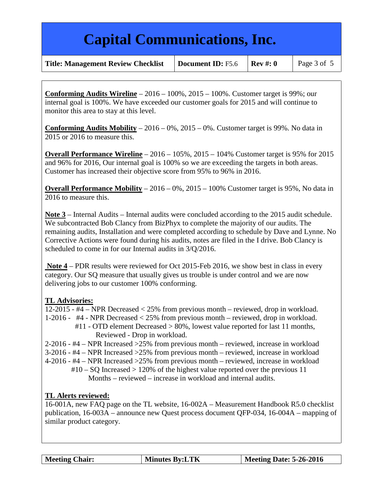**Title: Management Review Checklist** | Document ID: F5.6 | Rev #: 0 | Page 3 of 5

**Conforming Audits Wireline** – 2016 – 100%, 2015 – 100%. Customer target is 99%; our internal goal is 100%. We have exceeded our customer goals for 2015 and will continue to monitor this area to stay at this level.

**Conforming Audits Mobility** – 2016 – 0%, 2015 – 0%. Customer target is 99%. No data in 2015 or 2016 to measure this.

**Overall Performance Wireline** – 2016 – 105%, 2015 – 104% Customer target is 95% for 2015 and 96% for 2016, Our internal goal is 100% so we are exceeding the targets in both areas. Customer has increased their objective score from 95% to 96% in 2016.

**Overall Performance Mobility** – 2016 – 0%, 2015 – 100% Customer target is 95%, No data in 2016 to measure this.

**Note 3** – Internal Audits – Internal audits were concluded according to the 2015 audit schedule. We subcontracted Bob Clancy from BizPhyx to complete the majority of our audits. The remaining audits, Installation and were completed according to schedule by Dave and Lynne. No Corrective Actions were found during his audits, notes are filed in the I drive. Bob Clancy is scheduled to come in for our Internal audits in 3/Q/2016.

**Note 4** – PDR results were reviewed for Oct 2015-Feb 2016, we show best in class in every category. Our SQ measure that usually gives us trouble is under control and we are now delivering jobs to our customer 100% conforming.

### **TL Advisories:**

12-2015 - #4 – NPR Decreased < 25% from previous month – reviewed, drop in workload. 1-2016 - #4 - NPR Decreased < 25% from previous month – reviewed, drop in workload. #11 - OTD element Decreased > 80%, lowest value reported for last 11 months,

Reviewed - Drop in workload.

2-2016 - #4 – NPR Increased >25% from previous month – reviewed, increase in workload

3-2016 - #4 – NPR Increased >25% from previous month – reviewed, increase in workload

4-2016 - #4 – NPR Increased >25% from previous month – reviewed, increase in workload

 $\text{\#10} - \text{SO}$  Increased  $> 120\%$  of the highest value reported over the previous 11 Months – reviewed – increase in workload and internal audits.

### **TL Alerts reviewed:**

16-001A, new FAQ page on the TL website, 16-002A – Measurement Handbook R5.0 checklist publication, 16-003A – announce new Quest process document QFP-034, 16-004A – mapping of similar product category.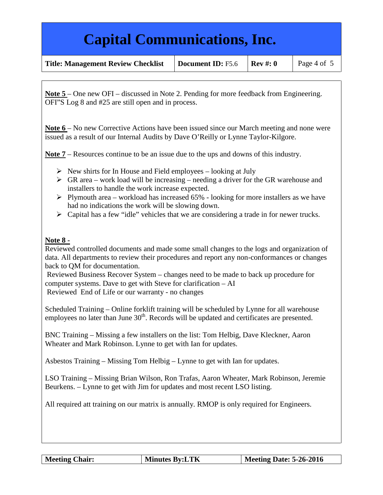| <b>Title: Management Review Checklist</b> | Document ID: F5.6 | $Rev \#: 0$ | Page 4 of 5 |
|-------------------------------------------|-------------------|-------------|-------------|
|-------------------------------------------|-------------------|-------------|-------------|

**Note 5** – One new OFI – discussed in Note 2. Pending for more feedback from Engineering. OFI"S Log 8 and #25 are still open and in process.

**Note 6** – No new Corrective Actions have been issued since our March meeting and none were issued as a result of our Internal Audits by Dave O'Reilly or Lynne Taylor-Kilgore.

**Note 7** – Resources continue to be an issue due to the ups and downs of this industry.

- $\triangleright$  New shirts for In House and Field employees looking at July
- $\triangleright$  GR area work load will be increasing needing a driver for the GR warehouse and installers to handle the work increase expected.
- $\triangleright$  Plymouth area workload has increased 65% looking for more installers as we have had no indications the work will be slowing down.
- $\triangleright$  Capital has a few "idle" vehicles that we are considering a trade in for newer trucks.

#### **Note 8 -**

Reviewed controlled documents and made some small changes to the logs and organization of data. All departments to review their procedures and report any non-conformances or changes back to QM for documentation.

Reviewed Business Recover System – changes need to be made to back up procedure for computer systems. Dave to get with Steve for clarification – AI Reviewed End of Life or our warranty - no changes

Scheduled Training – Online forklift training will be scheduled by Lynne for all warehouse employees no later than June  $30<sup>th</sup>$ . Records will be updated and certificates are presented.

BNC Training – Missing a few installers on the list: Tom Helbig, Dave Kleckner, Aaron Wheater and Mark Robinson. Lynne to get with Ian for updates.

Asbestos Training – Missing Tom Helbig – Lynne to get with Ian for updates.

LSO Training – Missing Brian Wilson, Ron Trafas, Aaron Wheater, Mark Robinson, Jeremie Beurkens. – Lynne to get with Jim for updates and most recent LSO listing.

All required att training on our matrix is annually. RMOP is only required for Engineers.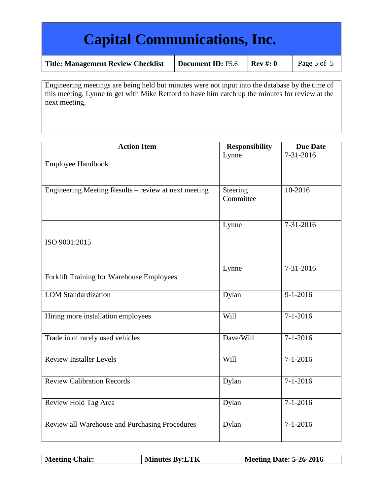| Title: Management Review Checklist | Document ID: F5.6 | $\mathbf R$ |
|------------------------------------|-------------------|-------------|
|                                    |                   |             |

Engineering meetings are being held but minutes were not input into the database by the time of this meeting. Lynne to get with Mike Retford to have him catch up the minutes for review at the next meeting.

| <b>Action Item</b>                                   | <b>Responsibility</b> | <b>Due Date</b> |
|------------------------------------------------------|-----------------------|-----------------|
| <b>Employee Handbook</b>                             | Lynne                 | $7 - 31 - 2016$ |
| Engineering Meeting Results – review at next meeting | Steering<br>Committee | 10-2016         |
| ISO 9001:2015                                        | Lynne                 | 7-31-2016       |
| Forklift Training for Warehouse Employees            | Lynne                 | 7-31-2016       |
| <b>LOM Standardization</b>                           | Dylan                 | $9 - 1 - 2016$  |
| Hiring more installation employees                   | Will                  | $7 - 1 - 2016$  |
| Trade in of rarely used vehicles                     | Dave/Will             | $7 - 1 - 2016$  |
| <b>Review Installer Levels</b>                       | Will                  | $7 - 1 - 2016$  |
| <b>Review Calibration Records</b>                    | Dylan                 | $7 - 1 - 2016$  |
| Review Hold Tag Area                                 | Dylan                 | $7 - 1 - 2016$  |
| Review all Warehouse and Purchasing Procedures       | Dylan                 | $7 - 1 - 2016$  |